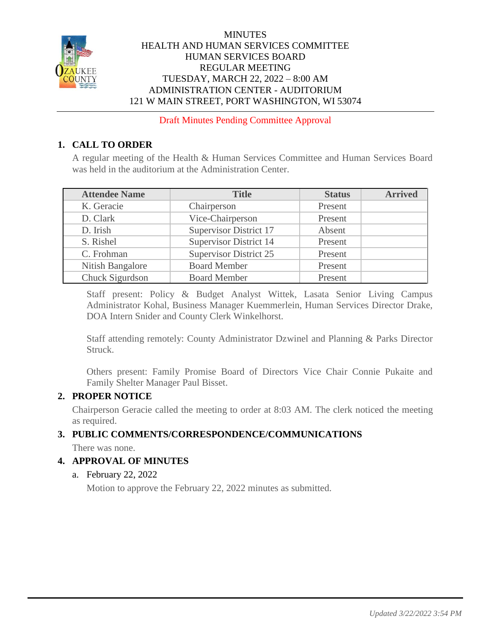

### **MINUTES** HEALTH AND HUMAN SERVICES COMMITTEE HUMAN SERVICES BOARD REGULAR MEETING TUESDAY, MARCH 22, 2022 – 8:00 AM ADMINISTRATION CENTER - AUDITORIUM 121 W MAIN STREET, PORT WASHINGTON, WI 53074

Draft Minutes Pending Committee Approval

# **1. CALL TO ORDER**

A regular meeting of the Health & Human Services Committee and Human Services Board was held in the auditorium at the Administration Center.

| <b>Attendee Name</b> | <b>Title</b>                  | <b>Status</b> | <b>Arrived</b> |
|----------------------|-------------------------------|---------------|----------------|
| K. Geracie           | Chairperson                   | Present       |                |
| D. Clark             | Vice-Chairperson              | Present       |                |
| D. Irish             | <b>Supervisor District 17</b> | Absent        |                |
| S. Rishel            | <b>Supervisor District 14</b> | Present       |                |
| C. Frohman           | <b>Supervisor District 25</b> | Present       |                |
| Nitish Bangalore     | <b>Board Member</b>           | Present       |                |
| Chuck Sigurdson      | <b>Board Member</b>           | Present       |                |

Staff present: Policy & Budget Analyst Wittek, Lasata Senior Living Campus Administrator Kohal, Business Manager Kuemmerlein, Human Services Director Drake, DOA Intern Snider and County Clerk Winkelhorst.

Staff attending remotely: County Administrator Dzwinel and Planning & Parks Director Struck.

Others present: Family Promise Board of Directors Vice Chair Connie Pukaite and Family Shelter Manager Paul Bisset.

### **2. PROPER NOTICE**

Chairperson Geracie called the meeting to order at 8:03 AM. The clerk noticed the meeting as required.

# **3. PUBLIC COMMENTS/CORRESPONDENCE/COMMUNICATIONS**

There was none.

### **4. APPROVAL OF MINUTES**

### a. February 22, 2022

Motion to approve the February 22, 2022 minutes as submitted.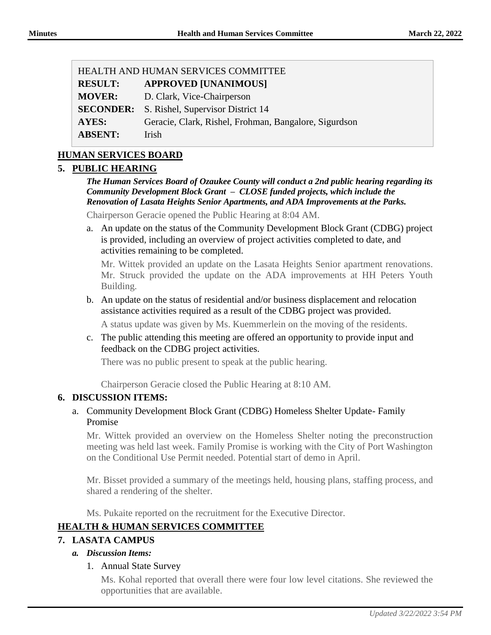| HEALTH AND HUMAN SERVICES COMMITTEE |                                                       |  |
|-------------------------------------|-------------------------------------------------------|--|
| <b>RESULT:</b>                      | <b>APPROVED [UNANIMOUS]</b>                           |  |
| <b>MOVER:</b>                       | D. Clark, Vice-Chairperson                            |  |
| <b>SECONDER:</b>                    | S. Rishel, Supervisor District 14                     |  |
| <b>AYES:</b>                        | Geracie, Clark, Rishel, Frohman, Bangalore, Sigurdson |  |
| <b>ABSENT:</b>                      | Irish                                                 |  |

# **HUMAN SERVICES BOARD**

### **5. PUBLIC HEARING**

*The Human Services Board of Ozaukee County will conduct a 2nd public hearing regarding its Community Development Block Grant – CLOSE funded projects, which include the Renovation of Lasata Heights Senior Apartments, and ADA Improvements at the Parks.* 

Chairperson Geracie opened the Public Hearing at 8:04 AM.

a. An update on the status of the Community Development Block Grant (CDBG) project is provided, including an overview of project activities completed to date, and activities remaining to be completed.

Mr. Wittek provided an update on the Lasata Heights Senior apartment renovations. Mr. Struck provided the update on the ADA improvements at HH Peters Youth Building.

b. An update on the status of residential and/or business displacement and relocation assistance activities required as a result of the CDBG project was provided.

A status update was given by Ms. Kuemmerlein on the moving of the residents.

c. The public attending this meeting are offered an opportunity to provide input and feedback on the CDBG project activities.

There was no public present to speak at the public hearing.

Chairperson Geracie closed the Public Hearing at 8:10 AM.

#### **6. DISCUSSION ITEMS:**

a. Community Development Block Grant (CDBG) Homeless Shelter Update- Family Promise

Mr. Wittek provided an overview on the Homeless Shelter noting the preconstruction meeting was held last week. Family Promise is working with the City of Port Washington on the Conditional Use Permit needed. Potential start of demo in April.

Mr. Bisset provided a summary of the meetings held, housing plans, staffing process, and shared a rendering of the shelter.

Ms. Pukaite reported on the recruitment for the Executive Director.

### **HEALTH & HUMAN SERVICES COMMITTEE**

### **7. LASATA CAMPUS**

### *a. Discussion Items:*

### 1. Annual State Survey

Ms. Kohal reported that overall there were four low level citations. She reviewed the opportunities that are available.